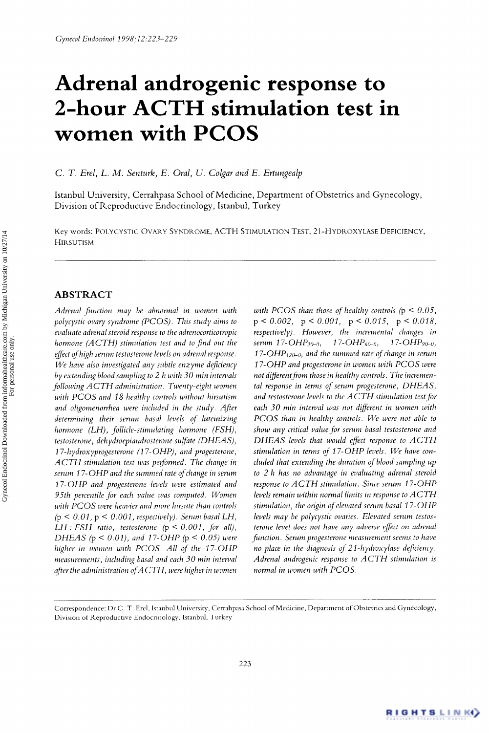# **Adrenal androgenic response to 2-hour ACTH stimulation test in women with PCOS**

*C. T. Erel, L. M. Senturk, E. Oral, U. Colgar and E. Ertungealp* 

Istanbul University, Cerrahpasa School of Medicine, Department of Obstetrics and Gynecology, Division of Reproductive Endocrinology, Istanbul, Turkey

Key words: POLYCYSTIC OVARY SYNDROME, ACTH STIMULATION TEST, 21-HYDROXYLASE DEFICIENCY, **HIRSUTISM** 

# **ABSTRACT**

*Adrenal function may be abnormal in women with polycystic ovary syndrome (PCOS). This study aims to evaluate adrenal steroid response* lo *the adrenocorticotropic hormone (ACTH) stimulation test and to find out the eflect of high serum testosterone levels on adrenal response. We have also investigated any subtle enzyme deficiency by extending blood sampling to 2 h with 30 min iritewals following ACTH administration. Twenty-eight women with PCOS and 18 healthy controls without hirsutism and oligomenorrhea were included in the study. After determining their serum basaj levels of luteinizing hormone (LH), follicle-stimulating hormone (FSH), testosterone, dehydroepiandrosterone sulfate (DHEAS), 17-hydroxyprogesterone (1 7-OHP), and progesterone, ACTH stimulation test was performed. The change in serum 17-OHP and the summed rate of change in serum 17-OHP and progesterone levels were estimated and 95th percentile* for *each value was computed. Women with PCOS were heavier and more hirsute than controls*  **(p** < *0.01,* p < *0.001, respectively). Serirni basal LH, LH* : *FSH* ratio, testosterone  $(p < 0.001,$  for all), *DHEAS* **(p** < *0.01), and 17-OHP* **(p** < *0.05) were higher in women with PCOS. All of the 17-OHP measurements, including basal and each 30 min interval dfter the administration of ACTH, were higher in women*  *with PCOS than those of healthy controls* (p < *0.05,*  **p** < *0.002,* **p** < *0.001,* p < *0.015,* **p** < *0.018, respectively). However, the incremental changes in serum* 17- $\text{OHP}_{30-0}$ , 17- $\text{OHP}_{60-0}$ , 17- $\text{OHP}_{90-0}$ ,  $17$ - $\text{OHP}_{120-0}$ , and the summed rate of change in serum *17-OHP and progesterone in women with PCOS were*  not different from those in healthy controls. The incremen*tal response in terms* oj' *serum progesterone, DHEAS, and testosterone levels to the ACTH stimulation test* for *each 30 min interval was not dflerent in women with PCOS than in healthy controls. We were not able to show any critical value* for *serum basal testosterone and DHEAS levels that would efect response to ACTH stimulation in terms of 17-OHP levels. We have concluded that extending the duration of blood sampling up to 2 h has no advantage in evaluating adrenal steroid response to ACTH stimulation. Since serum 17-OHP levels remain within normal limits in response to ACTH stimulation, the origin of elevated serum basal 17-OHP levels may be polycystic ovaries. Elevated serum testosterone level does not have any adverse efect on adrenal function. Serum progesterone measurement seems to have no place in the diagnosis of 21-hydroxylase deficiency. Adrenal androgenic response to ACTH stimulation is normal in women with PCOS.* 



Correspondence: Dr C. T. Erel, Istanbul University, Cerrahpasa School of Medicine, Department of Obstetrics and Gynecology, Division of Reproductive Endocrinology, Istanbul, Turkey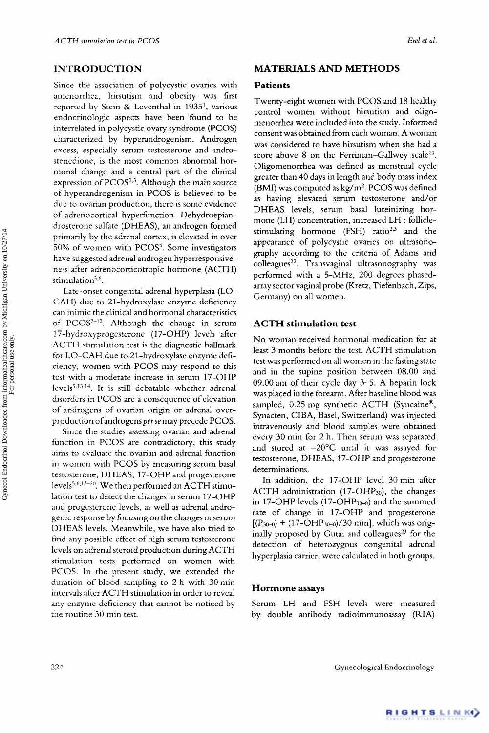Since the association of polycystic ovaries with **Patients** amenorrhea, hirsutism and obesity was first reported by Stein & Leventhal in 1935', various endocrinologic aspects have been found to be interrelated in polycystic ovary syndrome (PCOS) characterized by hyperandrogenism. Androgen excess, especially serum testosterone and androstenedione, is the most common abnormal hormonal change and a central part of the clinical expression of PCOS<sup>2,3</sup>. Although the main source of hyperandrogenism in PCOS is believed to be due to ovarian production, there is some evidence of adrenocortical hyperfunction. Dehydroepiandrosterone sulfate (DHEAS), an androgen formed primarily by the adrenal cortex, is elevated in over 50% of women with PCOS4. Some investigators have suggested adrenal androgen hyperresponsiveness after adrenocorticotropic hormone (ACTH) stimulation<sup>5,6</sup>.

Late-onset congenital adrenal hyperplasia (LO-CAH) due to 21-hydroxylase enzyme deficiency can mimic the clinical and hormonal characteristics of  $PCOS<sup>7-12</sup>$ . Although the change in serum 17-hydroxyprogesterone (17-OHP) levels after ACTH stimulation test is the diagnostic hallmark for LO-CAH due to 21-hydroxylase enzyme deficiency, women with PCOS may respond to this test with a moderate increase in serum 17-OHP levels<sup>5,13,14</sup>. It is still debatable whether adrenal disorders in PCOS are a consequence of elevation of androgens of ovarian origin or adrenal overproduction of androgens *per se* may precede PCOS.

Since the studies assessing ovarian and adrenal function in PCOS are contradictory, this study aims to evaluate the ovarian and adrenal function in women with PCOS by measuring serum basal testosterone, DHEAS, 17-OHP and progesterone lation test to detect the changes in serum 17-OHP and progesterone levels, as well as adrenal androgenic response by focusing on the changes in serum DHEAS levels. Meanwhile, we have also tried to find any possible effect of high serum testosterone levels on adrenal steroid production during ACTH stimulation tests performed on women with levels<sup>5,6,13-20</sup>. We then performed an ACTH stimu-PCOS. In the present study, we extended the duration of blood sampling to 2 h with 30 min intervals after ACTH stimulation in order to reveal any enzyme deficiency that cannot be noticed by Serum LH and FSH levels were measured the routine 30 min test. by double antibody radioimmunoassay (RIA)

### **INTRODUCTION MATERIALS AND METHODS**

Twenty-eight women with PCOS and 18 healthy control women without hirsutism and oligomenorrhea were included into the study. Informed consent was obtained from each woman. A woman was considered to have hirsutism when she had a score above 8 on the Ferriman-Gallwey scale<sup>21</sup>. Oligomenorrhea was defined as menstrual cycle greater than 40 days in length and body mass index (BMI) was computed as  $kg/m^2$ . PCOS was defined as having elevated serum testosterone and/or DHEAS levels, serum basal luteinizing hormone (LH) concentration, increased LH : folliclestimulating hormone (FSH) ratio<sup>2,3</sup> and the appearance of polycystic ovaries on ultrasonography according to the criteria of Adams and colleagues<sup>22</sup>. Transvaginal ultrasonography was performed with a 5-MHz, 200 degrees phasedarray sector vaginal probe (Kretz, Tiefenbach, Zips, Germany) on all women.

## **ACTH stimulation test**

No woman received hormonal medication for at least 3 months before the test. ACTH stimulation test was performed on all women in the fasting state and in the supine position between 08.00 and 09.00 am of their cycle day 3-5. A heparin lock was placed in the forearm. After baseline blood was sampled, 0.25 mg synthetic ACTH (Syncaine<sup>®</sup>, Synacten, CIBA, Basel, Switzerland) was injected intravenously and blood samples were obtained every 30 min for 2 h. Then serum was separated and stored at  $-20^{\circ}$ C until it was assayed for testosterone, DHEAS, 17-OHP and progesterone determinations.

In addition, the 17-OHP level 30 min after ACTH administration  $(17-OHP_{30})$ , the changes in 17-OHP levels (17-OHP3o-o) and the summed rate of change in 17-OHP and progesterone  $[(P_{30-0}) + (17-OHP_{30-0})/30$  min], which was originally proposed by Gutai and colleagues<sup>23</sup> for the detection of heterozygous congenital adrenal hyperplasia carrier, were calculated in both groups.

## **Hormone assays**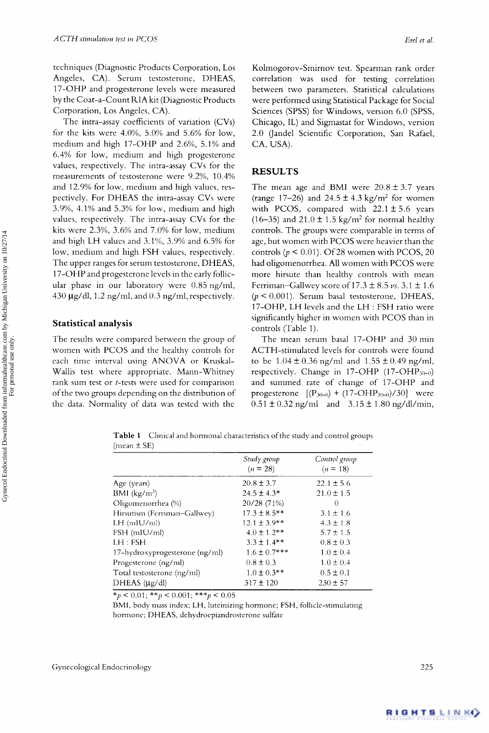techniques (Diagnostic Products Corporation, Los Angeles, CA). Serum testosterone, DHEAS, 17-OHP and progesterone levels were measured by the Coat-a-Count RIA kit (Diagnostic Products Corporation, Los Angeles, CA).

The intra-assay coefficients of variation (CVs) for the kits were 4.0%, 5.0% and 5.6% for low, medium and high 17-OHP and 2.6%, 5.1% and 6.4% for low, medium and high progesterone values, respectively. The intra-assay CVs for the measurements of testosterone were 9.2%, 10.4% and 12.9% for low, medium and high values, respectively. For DHEAS the intra-assay CVs were 3.9%, 4.1% and 5.3% for low, medium and high values, respectively. The intra-assay CVs for the kits were  $2.3\%$ ,  $3.6\%$  and  $7.0\%$  for low, medium and high LH values and **3.1%,** 3.9% and 6.5% for low, medium and high FSH values, respectively. The upper ranges for serum testosterone, DHEAS, 17-OHP and progesterone levels in the early follicular phase in our laboratory were 0.85 ng/ml, 430  $\mu$ g/dl, 1.2 ng/ml, and 0.3 ng/ml, respectively.

# **Statistical analysis**

The results were compared between the group of women with PCOS and the healthy controls for each time interval using ANOVA or Kruskal-Wallis test where appropriate. Mann-Whitney rank sum test or *t*-tests were used for comparison of the two groups depending on the distribution of the data. Normality of data was tested with the

Kolmogorov-Smirnov test. Spearman rank order correlation was used for testing correlation between two parameters. Statistical calculations were performed using Statistical Package for Social Sciences (SPSS) for Windows, version 6.0 (SPSS, Chicago, IL) and Sigmastat for Windows, version 2.0 (Jandel Scientific Corporation, San Rafael, CA, USA).

# **RESULTS**

The mean age and BMI were  $20.8 \pm 3.7$  years (range 17–26) and  $24.5 \pm 4.3$  kg/m<sup>2</sup> for women with PCOS, compared with  $22.1 \pm 5.6$  years (16-35) and  $21.0 \pm 1.5$  kg/m<sup>2</sup> for normal healthy controls. The groups were comparable in terms of age, but women with PCOS were heavier than the controls ( $p \le 0.01$ ). Of 28 women with PCOS, 20 had oligomenorrhea. All women with PCOS were more hirsute than healthy controls with mean Ferriman-Gallwey score of  $17.3 \pm 8.5 \nu s$ .  $3.1 \pm 1.6$  $(p < 0.001)$ . Serum basal testosterone, DHEAS, 17-OHP, LH levels and the LH : FSH ratio were significantly higher in women with PCOS than in controls (Table 1).

The mean serum basal 17-OHP and 30min ACTH-stimulated levels for controls were found to be  $1.04 \pm 0.36$  ng/ml and  $1.55 \pm 0.49$  ng/ml, respectively. Change in  $17$ -OHP  $(17$ -OHP<sub>30-0</sub>) and summed rate of change of 17-OHP and progesterone  $[(P_{30-0}) + (17-OHP_{30-0})/30]$  were  $0.51 \pm 0.32$  ng/ml and  $3.15 \pm 1.80$  ng/dl/min,

**Table 1**  Clinical and hormonal characteristics ofthe study and control groups (mean  $\pm$  SE)

|                                | Study group<br>$(n = 28)$ | Control group<br>$(n = 18)$ |
|--------------------------------|---------------------------|-----------------------------|
| Age (years)                    | $20.8 \pm 3.7$            | $22.1 \pm 5.6$              |
| BMI $(kg/m^2)$                 | $24.5 \pm 4.3*$           | $21.0 \pm 1.5$              |
| Oligomenorrhea (%)             | 20/28 (71%)               | $\left( \right)$            |
| Hirsutism (Ferriman–Gallwey)   | $17.3 \pm 8.5$ **         | $3.1 \pm 1.6$               |
| $LH$ (mIU/ml)                  | $12.1 \pm 3.9**$          | $4.3 \pm 1.8$               |
| FSH (mIU/ml)                   | $4.0 \pm 1.2**$           | $5.7 \pm 1.5$               |
| LH : FSH                       | $3.3 \pm 1.4**$           | $0.8 \pm 0.3$               |
| 17-hydroxyprogesterone (ng/ml) | $1.6 \pm 0.7$ ***         | $1.0 \pm 0.4$               |
| Progesterone (ng/ml)           | $0.8 \pm 0.3$             | $1.0 \pm 0.4$               |
| Total testosterone (ng/ml)     | $1.0 \pm 0.3$ **          | $0.5 \pm 0.1$               |
| DHEAS $(\mu g/d)$              | $317 \pm 120$             | $230 \pm 57$                |

*\*p* < 0.01; *\*\*p* < 0.001; *\*\*\*p* < 0.05

BMI, body mass index; LH, luteinizing hormone; FSH, follicle-stimulating hormone; DHEAS, dehydroepiandrosterone sulfate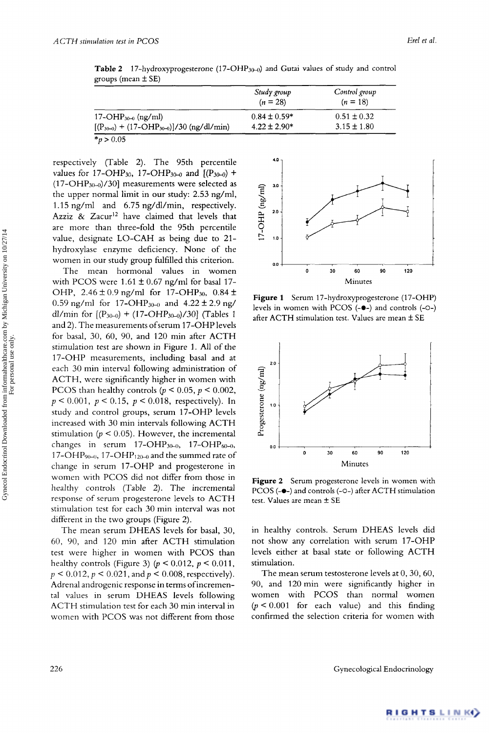|                                                 | Study group<br>$(n = 28)$ | Control group<br>$(n = 18)$ |
|-------------------------------------------------|---------------------------|-----------------------------|
| $17$ -OH $P_{30-0}$ (ng/ml)                     | $0.84 \pm 0.59*$          | $0.51 \pm 0.32$             |
| $[(P_{30-0}) + (17-OHP_{30-0})]/30$ (ng/dl/min) | $4.22 \pm 2.90*$          | $3.15 \pm 1.80$             |
| * $p > 0.05$                                    |                           |                             |

Table 2 17-hydroxyprogesterone (17-OHP<sub>30-0</sub>) and Gutai values of study and control groups (mean f **SE)** 

respectively (Table 2). The 95th percentile values for 17-OHP<sub>30</sub>, 17-OHP<sub>30-0</sub> and  $[(P_{30-0}) +$  $(17-OHP<sub>30-0</sub>)/30$ ] measurements were selected as the upper normal limit in our study: 2.53 ng/ml, 1.15 ng/ml and 6.75 ng/dl/min, respectively. Azziz  $\&$  Zacur<sup>12</sup> have claimed that levels that are more than three-fold the 95th percentile value, designate LO-CAH as being due to 21 hydroxylase enzyme deficiency. None of the women in our study group fulfilled this criterion.

The mean hormonal values in women with PCOS were  $1.61 \pm 0.67$  ng/ml for basal 17-OHP,  $2.46 \pm 0.9$  ng/ml for 17-OHP<sub>30</sub>,  $0.84 \pm$ 0.59 ng/ml for 17-OHP<sub>30-0</sub> and  $4.22 \pm 2.9$  ng/ dl/min for  $[(P_{30-0}) + (17{\text -}OHP_{30-0})/30]$  (Tables 1 and 2). The measurements ofserum 17-OHP levels for basal, 30, 60, 90, and 120 min after ACTH stimulation test are shown in Figure 1. All of the 17-OHP measurements, including basal and at each 30 min interval following administration of ACTH, were significantly higher in women with PCOS than healthy controls ( $p \le 0.05$ ,  $p \le 0.002$ , *<sup>p</sup>*< 0.001, *p* < 0.15, *p* < 0.018, respectively). In study and control groups, serum 17-OHP levels increased with 30 min intervals following ACTH stimulation ( $p < 0.05$ ). However, the incremental changes in serum  $17$ -OHP<sub>30-0</sub>,  $17$ -OHP<sub>60-0</sub>, 17-OHP<sub>90-0</sub>, 17-OHP<sub>120-0</sub> and the summed rate of change in serum 17-OHP and progesterone in women with PCOS did not differ from those in healthy controls (Table 2). The incremental response of serum progesterone levels to ACTH stimulation test for each 30 min interval was not different in the two groups (Figure 2).

The mean serum DHEAS levels for basal, 30, 60, 90, and 120 rnin after ACTH stimulation test were higher in women with PCOS than healthy controls (Figure 3) (p < 0.012, *p* < 0.011,  $p < 0.012, p < 0.021$ , and  $p < 0.008$ , respectively). Adrenal androgenic response in terms ofincremental values in serum DHEAS levels following ACTH stimulation test for each 30 min interval in women with PCOS was not different from those

 $4.0$ **4.0** 1  $3.0$ 17-OHP  $(ng/m)$  $2.0$  $1.0$ *0.0*  **0** *30 60* **90 120**  Minutes

Figure 1 Serum 17-hydroxyprogesterone (17-OHP) levels in women with PCOS *(-0-)* and controls *(-o-)*  after ACTH stimulation test. Values are mean  $\pm$  SE



**Figure 2** Serum progesterone levels in women with PCOS *(-0-)* and controls (-O-) after ACTH stimulation test. Values are mean  $\pm$  SE

in healthy controls. Serum DHEAS levels did not show any correlation with serum 17-OHP levels either at basal state or following ACTH stimulation.

The mean serum testosterone levels at  $0, 30, 60,$ 90, and 120 min were significantly higher in women with PCOS than normal women  $(p < 0.001$  for each value) and this finding confirmed the selection criteria for women with

226 Gynecological Endocrinology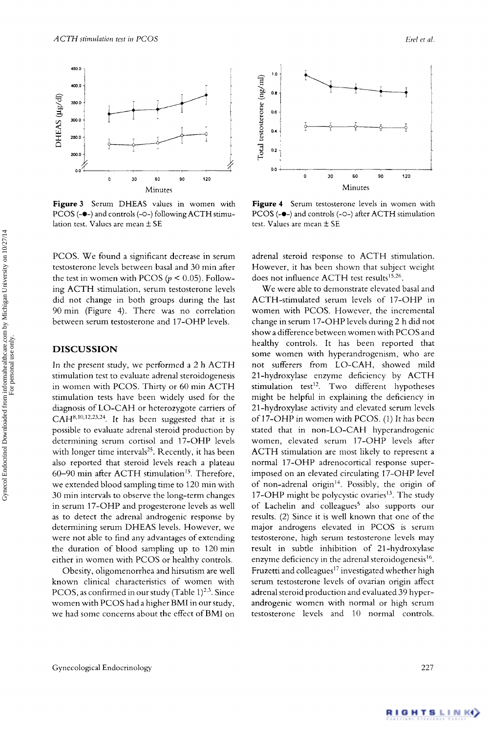

**Figure 3** Serum DHEAS values in women with PCOS *(-O-)* and controls *(-O-)* following ACTH stimulation test. Values are mean *5* SE

PCOS. We found a significant decrease in serum testosterone levels between basal and 30 min after the test in women with PCOS ( $p < 0.05$ ). Following ACTH stimulation, serum testosterone levels did not change in both groups during the last 90 min (Figure 4). There was no correlation between serum testosterone and 17-OHP levels.

# **DISCUSSION**

In the present study, we performed a 2 h ACTH stimulation test to evaluate adrenal steroidogenesis in women with PCOS. Thirty or 60 min ACTH stimulation tests have been widely used for the diagnosis of LO-CAH or heterozygote carriers of  $CAH<sup>8,10,12,23,24</sup>$ . It has been suggested that it is possible to evaluate adrenal steroid production by determining serum cortisol and 17-OHP levels with longer time intervals<sup>25</sup>. Recently, it has been also reported that steroid levels reach a plateau 60-90 min after ACTH stimulation". Therefore, we extended blood sampling time to 120 min with 30 min intervals to observe the long-term changes in serum 17-OHP and progesterone levels as well as to detect the adrenal androgenic response by determining serum DHEAS levels. However, we were not able to find any advantages of extending the duration of blood sampling up to 120 min either in women with PCOS or healthy controls.

Obesity, oligomenorrhea and hirsutism are well known clinical characteristics of women with PCOS, as confirmed in our study (Table 1) $^{2,3}$ . Since women with PCOS had a higher BMI in our study, we had some concerns about the effect of BMI on



**Figure 4** Serum testosterone levels in women with PCOS (-@-) and controls *(-O-)* after ACTH stimulation test. Values are mean  $\pm$  SE

adrenal steroid response to ACTH stimulation. However, it has been shown that subject weight does not influence ACTH test results<sup>15,26</sup>.

We were able to demonstrate elevated basal and ACTH-stimulated serum levels of 17-OHP in women with PCOS. However, the incremental change in serum 17-OHP levels during 2 h did not show a difference between women with PCOS and healthy controls. It has been reported that some women with hyperandrogenism, who are not sufferers from LO-CAH, showed mild 21-hydroxylase enzyme deficiency by ACTH stimulation test<sup>12</sup>. Two different hypotheses might be helpful in explaining the deficiency in 2 1 -hydroxylase activity and elevated serum levels of 17-OHP in women with PCOS. (1) It has been stated that in non-LO-CAH hyperandrogenic women, elevated serum 17-OHP levels after ACTH stimulation are most likely to represent a normal 17-OHP adrenocortical response superimposed on an elevated circulating 17-OHP level of non-adrenal origin". Possibly, the origin of 17-OHP might be polycystic ovaries<sup>13</sup>. The study of Lachelin and colleagues<sup>5</sup> also supports our results. (2) Since it is well known that one of the major androgens elevated in PCOS is serum testosterone, high serum testosterone levels may result in subtle inhibition of 21 -hydroxylase enzyme deficiency in the adrenal steroidogenesis<sup>16</sup>. Fruzetti and colleagues<sup>17</sup> investigated whether high serum testosterone levels of ovarian origin affect adrenal steroid production and evaluated 39 hyperandrogenic women with normal or high serum testosterone levels and 10 normal controls.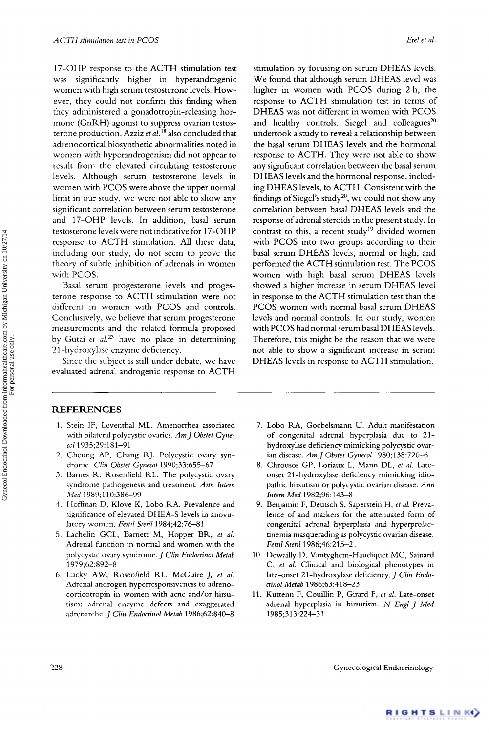17-OHP response to the ACTH stimulation test was significantly higher in hyperandrogenic women with high serum testosterone levels. However, they could not confirm this finding when they administered a gonadotropin-releasing hormone (GnRH) agonist to suppress ovarian testosterone production. Azziz *et aL'\** also concluded that adrenocortical biosynthetic abnormalities noted in women with hyperandrogenism did not appear to result from the elevated circulating testosterone levels. Although serum testosterone levels in women with PCOS were above the upper normal limit in our study, we were not able to show any significant correlation between serum testosterone and 17-OHP levels. In addition, basal serum testosterone levels were not indicative for 17-OHP response to ACTH stimulation. All these data, including our study, do not seem to prove the theory of subtle inhibition of adrenals in women with PCOS.

Basal serum progesterone levels and progesterone response to ACTH stimulation were not different in women with PCOS and controls. Conclusively, we believe that serum progesterone measurements and the related formula proposed by Gutai et al.<sup>23</sup> have no place in determining 21-hydroxylase enzyme deficiency.

Since the subject is still under debate, we have evaluated adrenal androgenic response to ACTH

stimulation by focusing on serum DHEAS levels. We found that although serum DHEAS level was higher in women with PCOS during 2 h, the response to ACTH stimulation test in terms of DHEAS was not different in women with PCOS and healthy controls. Siegel and colleagues $^{20}$ undertook a study to reveal a relationship between the basal serum DHEAS levels and the hormonal response to ACTH. They were not able to show any significant correlation between the basal serum DHEAS levels and the hormonal response, including DHEAS levels, to ACTH. Consistent with the findings of Siegel's study<sup>20</sup>, we could not show any correlation between basal DHEAS levels and the response of adrenal steroids in the present study. In contrast to this, a recent study<sup>19</sup> divided women with PCOS into two groups according to their basal serum DHEAS levels, normal or high, and performed the ACTH stimulation test. The PCOS women with high basal serum DHEAS levels showed a higher increase in serum DHEAS level in response to the ACTH stimulation test than the PCOS women with normal basal serum DHEAS levels and normal controls. In our study, women with PCOS had normal serum basal DHEAS levels. Therefore, this might be the reason that we were not able to show a significant increase in serum DHEAS levels in response to ACTH stimulation.

# **REFERENCES**

- 1. Stein IF, Leventhal ML. Amenorrhea associated with bilateral polycystic ovaries. *Am] Obstet Gyne-***CO~** 1935;29:181-91
- 2. Cheung AP, Chang RJ. Polycystic ovary syndrome. *Clin Obstet Gynecol* 1990;33:655-67
- 3. Barnes R, Rosenfield RL. The polycystic ovary syndrome pathogenesis and treatment. *Ann Intern Men* 1989;110:386-99
- 4. Hoffman D, Klove K, Lob0 RA. Prevalence and significance of elevated DHEA-S levels in anovulatory women. *Fertil Steril* 1984;42:76-81
- 5. Lachelin GCL, Bamett M, Hopper BR, *et al.*  Adrenal function in normal and women with the polycystic ovary syndrome. *J Clin Endocrinol Metab*  1979;62:892-8
- 6. Lucky AW, Rosenfield RL, McGuire J, *et al.*  Adrenal androgen hyperresponsiveness to adrenocorticotropin in women with acne and/or hirsutisni: adrenal enzyme defects and exaggerated adrenarche. *J Clin Endocrinol Metab* 1986;62:840-8
- 7. Lobo RA, Goebelsmann U. Adult manifestation of congenital adrenal hyperplasia due to 21 hydroxylase deficiency mimicking polycystic ovarian disease. *Am] Obstet Gynecol* 1980;138:720-6
- *8.*  Chrousos GP, Loriaux L, Mann DL, *et al.* Lateonset 21-hydroxylase deficiency mimicking idiopathic hisutism or polycystic ovarian disease. *Ann Intern Med* 1982;96:143-8
- 9. Benjamin F, Deutsch S, Saperstein H, *et al.* Prevalence of and markers for the attenuated form of congenital adrenal hyperplasia and hyperprolactinemia masquerading as polycystic ovarian disease. *Fertil Steril* 1986;46:215-21
- 10. Dewailly D, Vantyghem-Haudiquet MC, Sainard C, *et al.* Clinical and biological phenotypes in late-onset 21-hydroxylase deficiency.] *Clin Endocrinol Metab* 1986;63:418-23
- 11. Kuttenn F, Couillin P, Girard F, *et al.* Late-onset adrenal hyperplasia in hirsutism. *N Engl* ] *Med*  1985;3 13:224-3 1